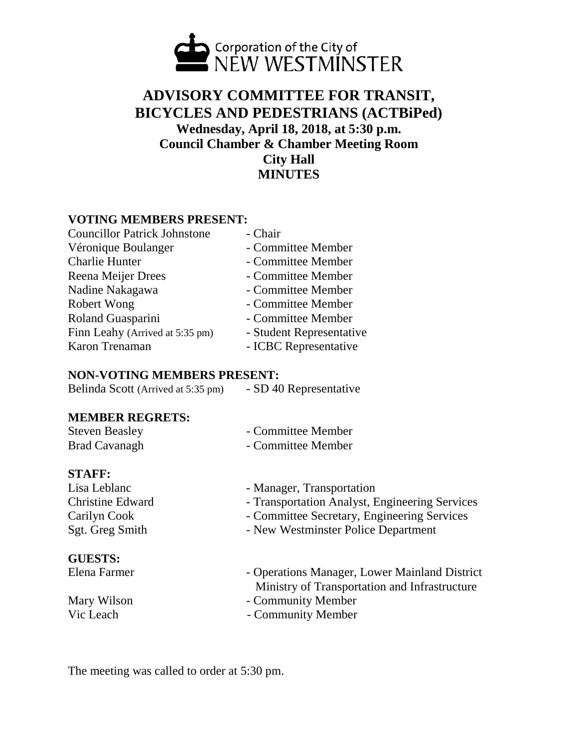

# **ADVISORY COMMITTEE FOR TRANSIT, BICYCLES AND PEDESTRIANS (ACTBiPed) Wednesday, April 18, 2018, at 5:30 p.m. Council Chamber & Chamber Meeting Room City Hall MINUTES**

### **VOTING MEMBERS PRESENT:**

| - Chair                  |
|--------------------------|
| - Committee Member       |
| - Committee Member       |
| - Committee Member       |
| - Committee Member       |
| - Committee Member       |
| - Committee Member       |
| - Student Representative |
| - ICBC Representative    |
|                          |

#### **NON-VOTING MEMBERS PRESENT:**

| Belinda Scott (Arrived at 5:35 pm) | - SD 40 Representative |
|------------------------------------|------------------------|
|------------------------------------|------------------------|

## **MEMBER REGRETS:**

| <b>Steven Beasley</b> | - Committee Member |
|-----------------------|--------------------|
| <b>Brad Cavanagh</b>  | - Committee Member |

#### **STAFF:**

## **GUESTS:**

- 
- Lisa Leblanc Manager, Transportation
- Christine Edward Transportation Analyst, Engineering Services
- Carilyn Cook Committee Secretary, Engineering Services
- Sgt. Greg Smith New Westminster Police Department
- Elena Farmer Operations Manager, Lower Mainland District Ministry of Transportation and Infrastructure
- Mary Wilson Community Member
- Vic Leach Community Member

The meeting was called to order at 5:30 pm.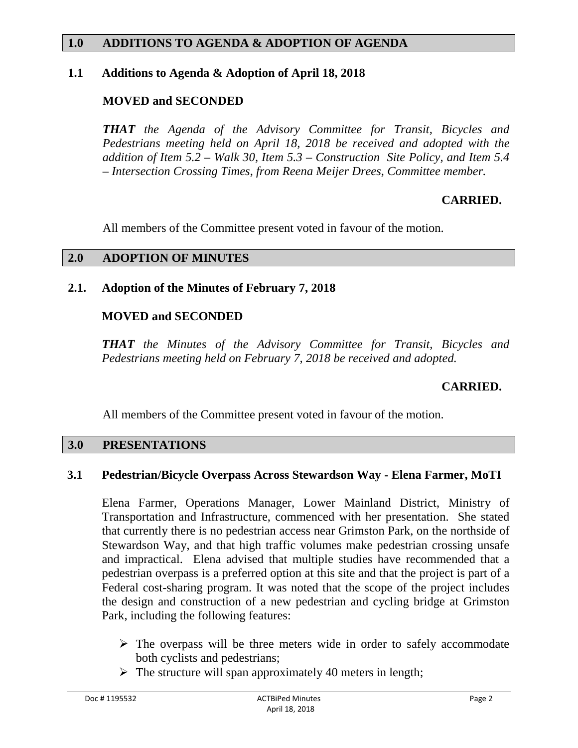#### **1.0 ADDITIONS TO AGENDA & ADOPTION OF AGENDA**

### **1.1 Additions to Agenda & Adoption of April 18, 2018**

## **MOVED and SECONDED**

*THAT the Agenda of the Advisory Committee for Transit, Bicycles and Pedestrians meeting held on April 18, 2018 be received and adopted with the addition of Item 5.2 – Walk 30, Item 5.3 – Construction Site Policy, and Item 5.4 – Intersection Crossing Times, from Reena Meijer Drees, Committee member.* 

## **CARRIED.**

All members of the Committee present voted in favour of the motion.

#### **2.0 ADOPTION OF MINUTES**

## **2.1. Adoption of the Minutes of February 7, 2018**

## **MOVED and SECONDED**

*THAT the Minutes of the Advisory Committee for Transit, Bicycles and Pedestrians meeting held on February 7, 2018 be received and adopted.* 

## **CARRIED.**

All members of the Committee present voted in favour of the motion.

#### **3.0 PRESENTATIONS**

## **3.1 Pedestrian/Bicycle Overpass Across Stewardson Way - Elena Farmer, MoTI**

Elena Farmer, Operations Manager, Lower Mainland District, Ministry of Transportation and Infrastructure, commenced with her presentation. She stated that currently there is no pedestrian access near Grimston Park, on the northside of Stewardson Way, and that high traffic volumes make pedestrian crossing unsafe and impractical. Elena advised that multiple studies have recommended that a pedestrian overpass is a preferred option at this site and that the project is part of a Federal cost-sharing program. It was noted that the scope of the project includes the design and construction of a new pedestrian and cycling bridge at Grimston Park, including the following features:

- $\triangleright$  The overpass will be three meters wide in order to safely accommodate both cyclists and pedestrians;
- $\triangleright$  The structure will span approximately 40 meters in length;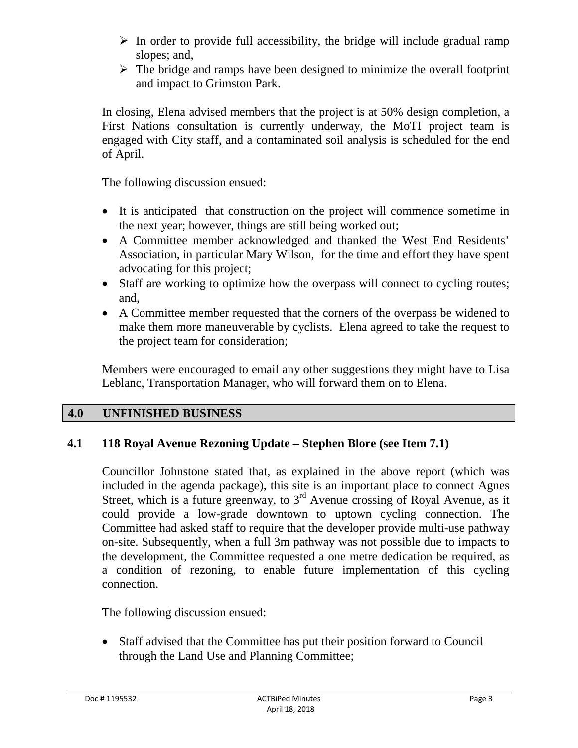- $\triangleright$  In order to provide full accessibility, the bridge will include gradual ramp slopes; and,
- $\triangleright$  The bridge and ramps have been designed to minimize the overall footprint and impact to Grimston Park.

In closing, Elena advised members that the project is at 50% design completion, a First Nations consultation is currently underway, the MoTI project team is engaged with City staff, and a contaminated soil analysis is scheduled for the end of April.

The following discussion ensued:

- It is anticipated that construction on the project will commence sometime in the next year; however, things are still being worked out;
- A Committee member acknowledged and thanked the West End Residents' Association, in particular Mary Wilson, for the time and effort they have spent advocating for this project;
- Staff are working to optimize how the overpass will connect to cycling routes; and,
- A Committee member requested that the corners of the overpass be widened to make them more maneuverable by cyclists. Elena agreed to take the request to the project team for consideration;

Members were encouraged to email any other suggestions they might have to Lisa Leblanc, Transportation Manager, who will forward them on to Elena.

## **4.0 UNFINISHED BUSINESS**

## **4.1 118 Royal Avenue Rezoning Update – Stephen Blore (see Item 7.1)**

Councillor Johnstone stated that, as explained in the above report (which was included in the agenda package), this site is an important place to connect Agnes Street, which is a future greenway, to  $3<sup>rd</sup>$  Avenue crossing of Royal Avenue, as it could provide a low-grade downtown to uptown cycling connection. The Committee had asked staff to require that the developer provide multi-use pathway on-site. Subsequently, when a full 3m pathway was not possible due to impacts to the development, the Committee requested a one metre dedication be required, as a condition of rezoning, to enable future implementation of this cycling connection.

The following discussion ensued:

• Staff advised that the Committee has put their position forward to Council through the Land Use and Planning Committee;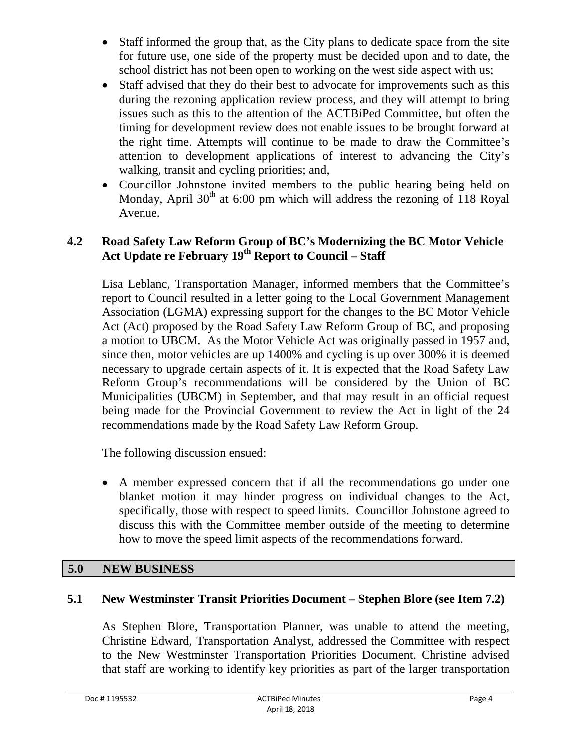- Staff informed the group that, as the City plans to dedicate space from the site for future use, one side of the property must be decided upon and to date, the school district has not been open to working on the west side aspect with us;
- Staff advised that they do their best to advocate for improvements such as this during the rezoning application review process, and they will attempt to bring issues such as this to the attention of the ACTBiPed Committee, but often the timing for development review does not enable issues to be brought forward at the right time. Attempts will continue to be made to draw the Committee's attention to development applications of interest to advancing the City's walking, transit and cycling priorities; and,
- Councillor Johnstone invited members to the public hearing being held on Monday, April  $30<sup>th</sup>$  at 6:00 pm which will address the rezoning of 118 Royal Avenue.

## **4.2 Road Safety Law Reform Group of BC's Modernizing the BC Motor Vehicle Act Update re February 19th Report to Council – Staff**

Lisa Leblanc, Transportation Manager, informed members that the Committee's report to Council resulted in a letter going to the Local Government Management Association (LGMA) expressing support for the changes to the BC Motor Vehicle Act (Act) proposed by the Road Safety Law Reform Group of BC, and proposing a motion to UBCM. As the Motor Vehicle Act was originally passed in 1957 and, since then, motor vehicles are up 1400% and cycling is up over 300% it is deemed necessary to upgrade certain aspects of it. It is expected that the Road Safety Law Reform Group's recommendations will be considered by the Union of BC Municipalities (UBCM) in September, and that may result in an official request being made for the Provincial Government to review the Act in light of the 24 recommendations made by the Road Safety Law Reform Group.

The following discussion ensued:

• A member expressed concern that if all the recommendations go under one blanket motion it may hinder progress on individual changes to the Act, specifically, those with respect to speed limits. Councillor Johnstone agreed to discuss this with the Committee member outside of the meeting to determine how to move the speed limit aspects of the recommendations forward.

## **5.0 NEW BUSINESS**

## **5.1 New Westminster Transit Priorities Document – Stephen Blore (see Item 7.2)**

As Stephen Blore, Transportation Planner, was unable to attend the meeting, Christine Edward, Transportation Analyst, addressed the Committee with respect to the New Westminster Transportation Priorities Document. Christine advised that staff are working to identify key priorities as part of the larger transportation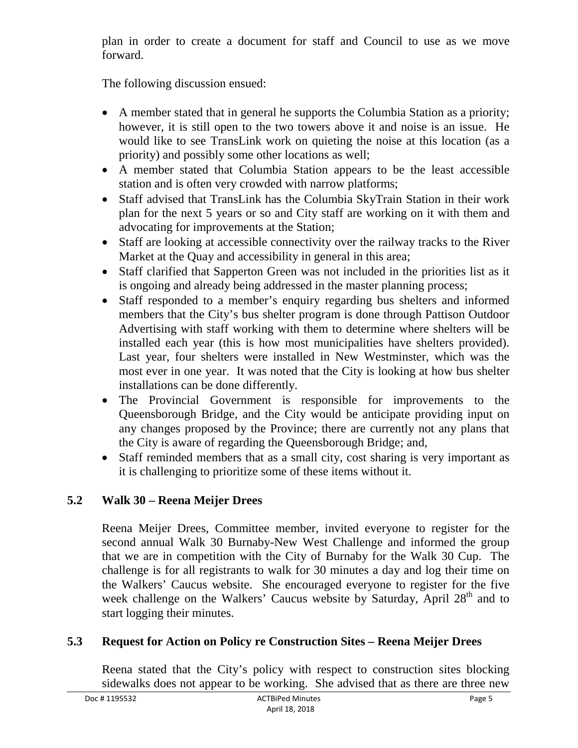plan in order to create a document for staff and Council to use as we move forward.

The following discussion ensued:

- A member stated that in general he supports the Columbia Station as a priority; however, it is still open to the two towers above it and noise is an issue. He would like to see TransLink work on quieting the noise at this location (as a priority) and possibly some other locations as well;
- A member stated that Columbia Station appears to be the least accessible station and is often very crowded with narrow platforms;
- Staff advised that TransLink has the Columbia SkyTrain Station in their work plan for the next 5 years or so and City staff are working on it with them and advocating for improvements at the Station;
- Staff are looking at accessible connectivity over the railway tracks to the River Market at the Quay and accessibility in general in this area;
- Staff clarified that Sapperton Green was not included in the priorities list as it is ongoing and already being addressed in the master planning process;
- Staff responded to a member's enquiry regarding bus shelters and informed members that the City's bus shelter program is done through Pattison Outdoor Advertising with staff working with them to determine where shelters will be installed each year (this is how most municipalities have shelters provided). Last year, four shelters were installed in New Westminster, which was the most ever in one year. It was noted that the City is looking at how bus shelter installations can be done differently.
- The Provincial Government is responsible for improvements to the Queensborough Bridge, and the City would be anticipate providing input on any changes proposed by the Province; there are currently not any plans that the City is aware of regarding the Queensborough Bridge; and,
- Staff reminded members that as a small city, cost sharing is very important as it is challenging to prioritize some of these items without it.

## **5.2 Walk 30 – Reena Meijer Drees**

Reena Meijer Drees, Committee member, invited everyone to register for the second annual Walk 30 Burnaby-New West Challenge and informed the group that we are in competition with the City of Burnaby for the Walk 30 Cup. The challenge is for all registrants to walk for 30 minutes a day and log their time on the Walkers' Caucus website. She encouraged everyone to register for the five week challenge on the Walkers' Caucus website by Saturday, April 28<sup>th</sup> and to start logging their minutes.

## **5.3 Request for Action on Policy re Construction Sites – Reena Meijer Drees**

Reena stated that the City's policy with respect to construction sites blocking sidewalks does not appear to be working. She advised that as there are three new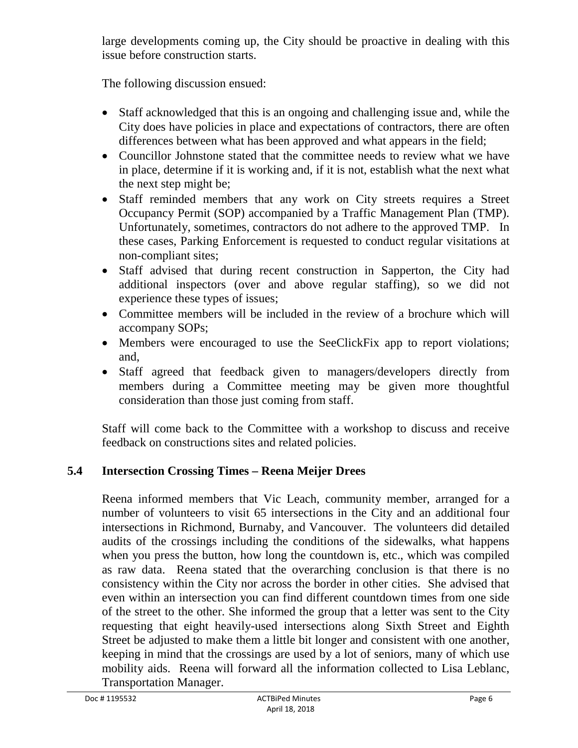large developments coming up, the City should be proactive in dealing with this issue before construction starts.

The following discussion ensued:

- Staff acknowledged that this is an ongoing and challenging issue and, while the City does have policies in place and expectations of contractors, there are often differences between what has been approved and what appears in the field;
- Councillor Johnstone stated that the committee needs to review what we have in place, determine if it is working and, if it is not, establish what the next what the next step might be;
- Staff reminded members that any work on City streets requires a Street Occupancy Permit (SOP) accompanied by a Traffic Management Plan (TMP). Unfortunately, sometimes, contractors do not adhere to the approved TMP. In these cases, Parking Enforcement is requested to conduct regular visitations at non-compliant sites;
- Staff advised that during recent construction in Sapperton, the City had additional inspectors (over and above regular staffing), so we did not experience these types of issues;
- Committee members will be included in the review of a brochure which will accompany SOPs;
- Members were encouraged to use the SeeClickFix app to report violations; and,
- Staff agreed that feedback given to managers/developers directly from members during a Committee meeting may be given more thoughtful consideration than those just coming from staff.

Staff will come back to the Committee with a workshop to discuss and receive feedback on constructions sites and related policies.

## **5.4 Intersection Crossing Times – Reena Meijer Drees**

Reena informed members that Vic Leach, community member, arranged for a number of volunteers to visit 65 intersections in the City and an additional four intersections in Richmond, Burnaby, and Vancouver. The volunteers did detailed audits of the crossings including the conditions of the sidewalks, what happens when you press the button, how long the countdown is, etc., which was compiled as raw data. Reena stated that the overarching conclusion is that there is no consistency within the City nor across the border in other cities. She advised that even within an intersection you can find different countdown times from one side of the street to the other. She informed the group that a letter was sent to the City requesting that eight heavily-used intersections along Sixth Street and Eighth Street be adjusted to make them a little bit longer and consistent with one another, keeping in mind that the crossings are used by a lot of seniors, many of which use mobility aids. Reena will forward all the information collected to Lisa Leblanc, Transportation Manager.